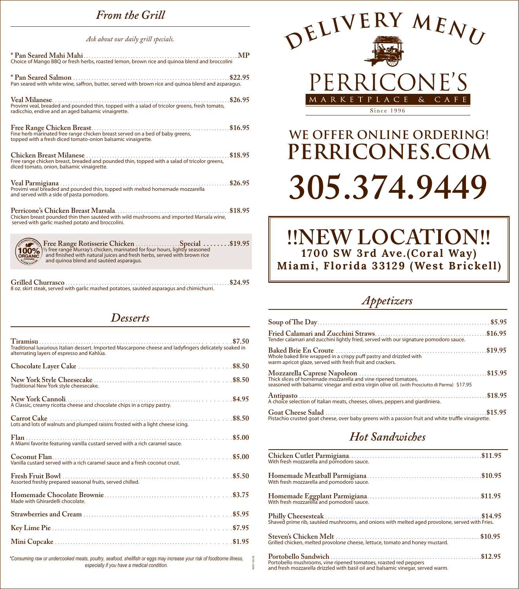### *From the Grill*

#### *Ask about our daily grill specials.*

| <b>MP</b><br>Choice of Mango BBQ or fresh herbs, roasted lemon, brown rice and guinoa blend and broccolini                                                                                                                                           |
|------------------------------------------------------------------------------------------------------------------------------------------------------------------------------------------------------------------------------------------------------|
| Pan seared with white wine, saffron, butter, served with brown rice and quinoa blend and asparagus.                                                                                                                                                  |
| \$26.95<br>Veal Milanese<br>Provimi veal, breaded and pounded thin, topped with a salad of tricolor greens, fresh tomato,<br>radicchio, endive and an aged balsamic vinaigrette.                                                                     |
| topped with a fresh diced tomato-onion balsamic vinaigrette.                                                                                                                                                                                         |
| Free range chicken breast, breaded and pounded thin, topped with a salad of tricolor greens,<br>diced tomato, onion, balsamic vinaigrette.                                                                                                           |
| and served with a side of pasta pomodoro.                                                                                                                                                                                                            |
| Chicken breast pounded thin then sautéed with wild mushrooms and imported Marsala wine,<br>served with garlic mashed potato and broccolini.                                                                                                          |
| Free Range Rotisserie Chicken  Special \$19.95<br>1/2 free range Murray's chicken, marinated for four hours, lightly seasoned<br>and finished with natural juices and fresh herbs, served with brown rice<br>and quinoa blend and sautéed asparagus. |

| 8 oz. skirt steak, served with garlic mashed potatoes, sautéed asparagus and chimichurri. |  |
|-------------------------------------------------------------------------------------------|--|

#### *Desserts*

| Traditional luxurious Italian dessert. Imported Mascarpone cheese and ladyfingers delicately soaked in<br>alternating layers of espresso and Kahlúa. |
|------------------------------------------------------------------------------------------------------------------------------------------------------|
|                                                                                                                                                      |
| Traditional New York style cheesecake.                                                                                                               |
| A Classic, creamy ricotta cheese and chocolate chips in a crispy pastry.                                                                             |
| Lots and lots of walnuts and plumped raisins frosted with a light cheese icing.                                                                      |
| A Miami favorite featuring vanilla custard served with a rich caramel sauce.                                                                         |
| Vanilla custard served with a rich caramel sauce and a fresh coconut crust.                                                                          |
| Assorted freshly prepared seasonal fruits, served chilled.                                                                                           |
| Made with Ghirardelli chocolate.                                                                                                                     |
|                                                                                                                                                      |
|                                                                                                                                                      |
|                                                                                                                                                      |
| *Consuming raw or undercooked meats, poultry, seafood, shellfish or eggs may increase your risk of foodborne illness, তেওঁ                           |

*\*Consuming raw or undercooked meats, poultry, seafood, shellfish or eggs may increase your risk of foodborne illness, especially if you have a medical condition.*

MAY/2020

MAY.



# **we offer Online Ordering! perricones.com 305.374.9449**

## **!!NEW LOCATION!! 1700 SW 3rd Ave.(Coral Way) Miami, Florida 33129 (West Brickell)**

#### *Appetizers*

| Tender calamari and zucchini lightly fried, served with our signature pomodoro sauce.                                           |  |
|---------------------------------------------------------------------------------------------------------------------------------|--|
| Whole baked Brie wrapped in a crispy puff pastry and drizzled with<br>warm apricot glaze, served with fresh fruit and crackers. |  |
| \$17.95 seasoned with balsamic vinegar and extra virgin olive oil. (with Prosciutto di Parma)                                   |  |
| Antipasto<br>A choice selection of Italian meats, cheeses, olives, peppers and giardiniera.                                     |  |
| Pistachio crusted goat cheese, over baby greens with a passion fruit and white truffle vinaigrette.                             |  |

#### *Hot Sandwiches*

| Grilled chicken, melted provolone cheese, lettuce, tomato and honey mustard.                                                                        |  |
|-----------------------------------------------------------------------------------------------------------------------------------------------------|--|
| Portobello mushrooms, vine ripened tomatoes, roasted red peppers<br>and fresh mozzarella drizzled with basil oil and balsamic vinegar, served warm. |  |